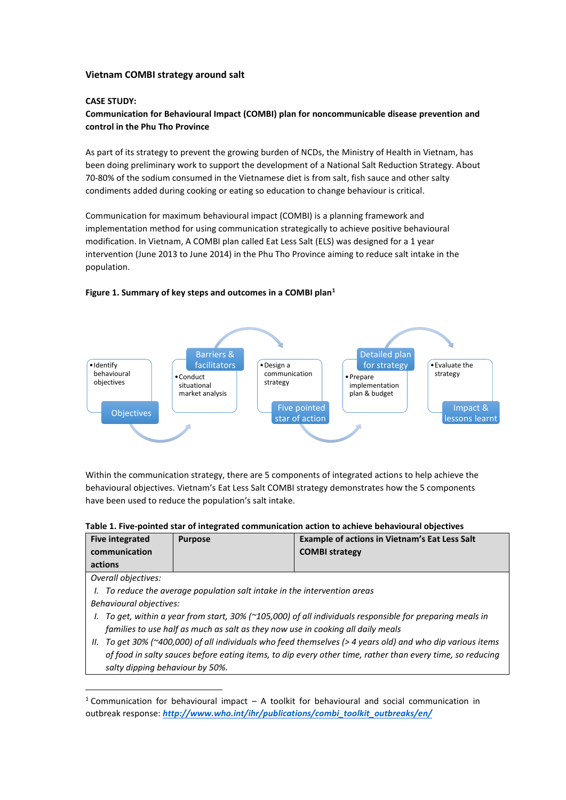## **Vietnam COMBI strategy around salt**

## **CASE STUDY:**

**Communication for Behavioural Impact (COMBI) plan for noncommunicable disease prevention and control in the Phu Tho Province**

As part of its strategy to prevent the growing burden of NCDs, the Ministry of Health in Vietnam, has been doing preliminary work to support the development of a National Salt Reduction Strategy. About 70-80% of the sodium consumed in the Vietnamese diet is from salt, fish sauce and other salty condiments added during cooking or eating so education to change behaviour is critical.

Communication for maximum behavioural impact (COMBI) is a planning framework and implementation method for using communication strategically to achieve positive behavioural modification. In Vietnam, A COMBI plan called Eat Less Salt (ELS) was designed for a 1 year intervention (June 2013 to June 2014) in the Phu Tho Province aiming to reduce salt intake in the population.



### **Figure 1. Summary of key steps and outcomes in a COMBI plan<sup>1</sup>**

Within the communication strategy, there are 5 components of integrated actions to help achieve the behavioural objectives. Vietnam's Eat Less Salt COMBI strategy demonstrates how the 5 components have been used to reduce the population's salt intake.

#### **Table 1. Five-pointed star of integrated communication action to achieve behavioural objectives**

| <b>Five integrated</b><br>communication                                                                       | <b>Purpose</b> | <b>Example of actions in Vietnam's Eat Less Salt</b><br><b>COMBI strategy</b> |  |  |
|---------------------------------------------------------------------------------------------------------------|----------------|-------------------------------------------------------------------------------|--|--|
| actions                                                                                                       |                |                                                                               |  |  |
| Overall objectives:                                                                                           |                |                                                                               |  |  |
| To reduce the average population salt intake in the intervention areas                                        |                |                                                                               |  |  |
| Behavioural objectives:                                                                                       |                |                                                                               |  |  |
| To get, within a year from start, 30% (~105,000) of all individuals responsible for preparing meals in        |                |                                                                               |  |  |
| families to use half as much as salt as they now use in cooking all daily meals                               |                |                                                                               |  |  |
| To get 30% (~400,000) of all individuals who feed themselves (> 4 years old) and who dip various items<br>II. |                |                                                                               |  |  |

*of food in salty sauces before eating items, to dip every other time, rather than every time, so reducing salty dipping behaviour by 50%.*

<sup>&</sup>lt;sup>1</sup> Communication for behavioural impact – A toolkit for behavioural and social communication in outbreak response: *[http://www.who.int/ihr/publications/combi\\_toolkit\\_outbreaks/en/](http://www.who.int/ihr/publications/combi_toolkit_outbreaks/en/)*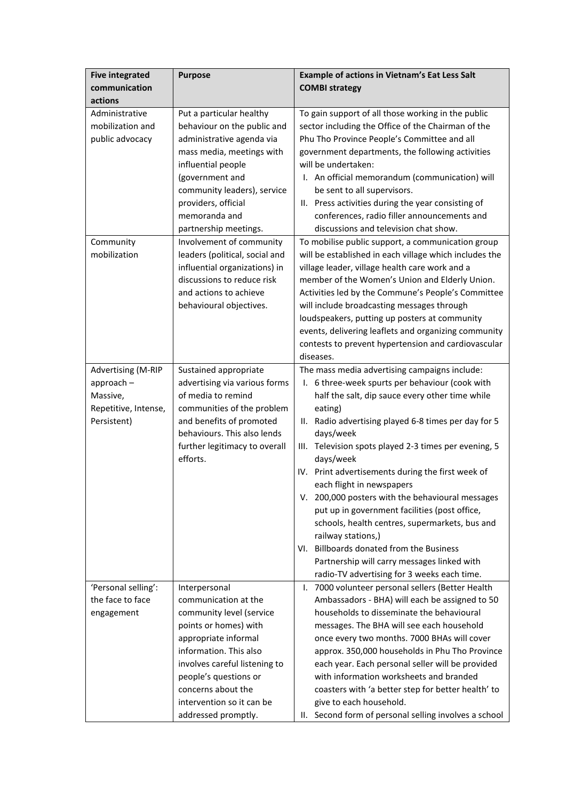| <b>Five integrated</b><br>communication                                                       | <b>Purpose</b>                                                                                                                                                                                                                                                                                                                                                                                                                               | <b>Example of actions in Vietnam's Eat Less Salt</b><br><b>COMBI strategy</b>                                                                                                                                                                                                                                                                                                                                                                                                                                                                                                                                                                                                                                                                                                                                                             |
|-----------------------------------------------------------------------------------------------|----------------------------------------------------------------------------------------------------------------------------------------------------------------------------------------------------------------------------------------------------------------------------------------------------------------------------------------------------------------------------------------------------------------------------------------------|-------------------------------------------------------------------------------------------------------------------------------------------------------------------------------------------------------------------------------------------------------------------------------------------------------------------------------------------------------------------------------------------------------------------------------------------------------------------------------------------------------------------------------------------------------------------------------------------------------------------------------------------------------------------------------------------------------------------------------------------------------------------------------------------------------------------------------------------|
| actions<br>Administrative<br>mobilization and<br>public advocacy<br>Community<br>mobilization | Put a particular healthy<br>behaviour on the public and<br>administrative agenda via<br>mass media, meetings with<br>influential people<br>(government and<br>community leaders), service<br>providers, official<br>memoranda and<br>partnership meetings.<br>Involvement of community<br>leaders (political, social and<br>influential organizations) in<br>discussions to reduce risk<br>and actions to achieve<br>behavioural objectives. | To gain support of all those working in the public<br>sector including the Office of the Chairman of the<br>Phu Tho Province People's Committee and all<br>government departments, the following activities<br>will be undertaken:<br>I. An official memorandum (communication) will<br>be sent to all supervisors.<br>II. Press activities during the year consisting of<br>conferences, radio filler announcements and<br>discussions and television chat show.<br>To mobilise public support, a communication group<br>will be established in each village which includes the<br>village leader, village health care work and a<br>member of the Women's Union and Elderly Union.<br>Activities led by the Commune's People's Committee<br>will include broadcasting messages through<br>loudspeakers, putting up posters at community |
|                                                                                               |                                                                                                                                                                                                                                                                                                                                                                                                                                              | events, delivering leaflets and organizing community<br>contests to prevent hypertension and cardiovascular<br>diseases.                                                                                                                                                                                                                                                                                                                                                                                                                                                                                                                                                                                                                                                                                                                  |
| <b>Advertising (M-RIP</b><br>approach-<br>Massive,<br>Repetitive, Intense,<br>Persistent)     | Sustained appropriate<br>advertising via various forms<br>of media to remind<br>communities of the problem<br>and benefits of promoted<br>behaviours. This also lends<br>further legitimacy to overall<br>efforts.                                                                                                                                                                                                                           | The mass media advertising campaigns include:<br>I. 6 three-week spurts per behaviour (cook with<br>half the salt, dip sauce every other time while<br>eating)<br>II. Radio advertising played 6-8 times per day for 5<br>days/week<br>III. Television spots played 2-3 times per evening, 5<br>days/week<br>IV. Print advertisements during the first week of<br>each flight in newspapers<br>V. 200,000 posters with the behavioural messages<br>put up in government facilities (post office,<br>schools, health centres, supermarkets, bus and<br>railway stations,)<br>VI. Billboards donated from the Business<br>Partnership will carry messages linked with<br>radio-TV advertising for 3 weeks each time.                                                                                                                        |
| 'Personal selling':<br>the face to face<br>engagement                                         | Interpersonal<br>communication at the<br>community level (service<br>points or homes) with<br>appropriate informal<br>information. This also<br>involves careful listening to<br>people's questions or<br>concerns about the<br>intervention so it can be<br>addressed promptly.                                                                                                                                                             | I. 7000 volunteer personal sellers (Better Health<br>Ambassadors - BHA) will each be assigned to 50<br>households to disseminate the behavioural<br>messages. The BHA will see each household<br>once every two months. 7000 BHAs will cover<br>approx. 350,000 households in Phu Tho Province<br>each year. Each personal seller will be provided<br>with information worksheets and branded<br>coasters with 'a better step for better health' to<br>give to each household.<br>II. Second form of personal selling involves a school                                                                                                                                                                                                                                                                                                   |